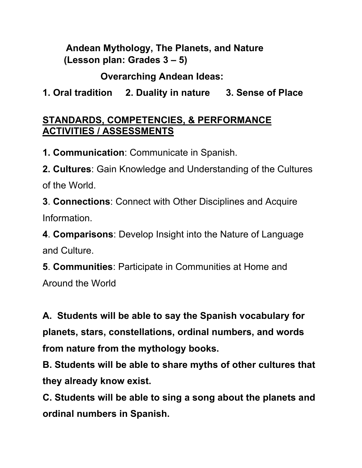**Andean Mythology, The Planets, and Nature (Lesson plan: Grades 3 – 5)** 

 **Overarching Andean Ideas:** 

**1. Oral tradition 2. Duality in nature 3. Sense of Place**

## **STANDARDS, COMPETENCIES, & PERFORMANCE ACTIVITIES / ASSESSMENTS**

**1. Communication**: Communicate in Spanish.

**2. Cultures**: Gain Knowledge and Understanding of the Cultures of the World.

**3**. **Connections**: Connect with Other Disciplines and Acquire Information.

**4**. **Comparisons**: Develop Insight into the Nature of Language and Culture.

**5**. **Communities**: Participate in Communities at Home and Around the World

**A. Students will be able to say the Spanish vocabulary for planets, stars, constellations, ordinal numbers, and words from nature from the mythology books.** 

**B. Students will be able to share myths of other cultures that they already know exist.**

**C. Students will be able to sing a song about the planets and ordinal numbers in Spanish.**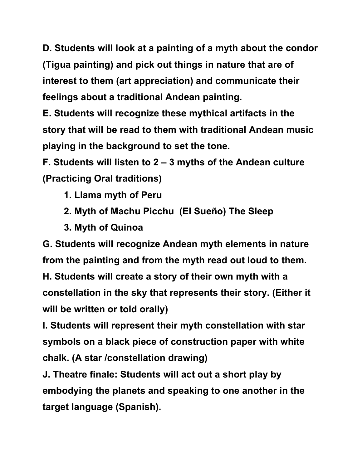**D. Students will look at a painting of a myth about the condor (Tigua painting) and pick out things in nature that are of interest to them (art appreciation) and communicate their feelings about a traditional Andean painting.** 

**E. Students will recognize these mythical artifacts in the story that will be read to them with traditional Andean music playing in the background to set the tone.** 

**F. Students will listen to 2 – 3 myths of the Andean culture (Practicing Oral traditions)** 

- **1. Llama myth of Peru**
- **2. Myth of Machu Picchu (El Sueño) The Sleep**
- **3. Myth of Quinoa**

**G. Students will recognize Andean myth elements in nature from the painting and from the myth read out loud to them. H. Students will create a story of their own myth with a constellation in the sky that represents their story. (Either it will be written or told orally)** 

**I. Students will represent their myth constellation with star symbols on a black piece of construction paper with white chalk. (A star /constellation drawing)** 

**J. Theatre finale: Students will act out a short play by embodying the planets and speaking to one another in the target language (Spanish).**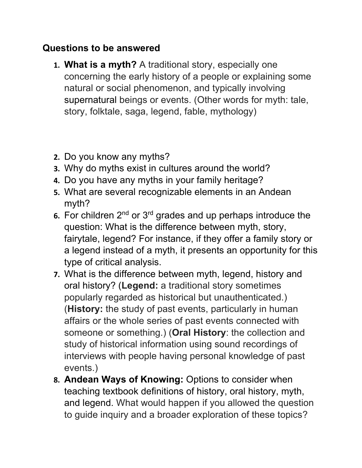### **Questions to be answered**

- **1. What is a myth?** A traditional story, especially one concerning the early history of a people or explaining some natural or social phenomenon, and typically involving supernatural beings or events. (Other words for myth: tale, story, folktale, saga, legend, fable, mythology)
- **2.** Do you know any myths?
- **3.** Why do myths exist in cultures around the world?
- **4.** Do you have any myths in your family heritage?
- **5.** What are several recognizable elements in an Andean myth?
- **6.** For children 2nd or 3rd grades and up perhaps introduce the question: What is the difference between myth, story, fairytale, legend? For instance, if they offer a family story or a legend instead of a myth, it presents an opportunity for this type of critical analysis.
- **7.** What is the difference between myth, legend, history and oral history? (**Legend:** a traditional story sometimes popularly regarded as historical but unauthenticated.) (**History:** the study of past events, particularly in human affairs or the whole series of past events connected with someone or something.) (**Oral History**: the collection and study of historical information using sound recordings of interviews with people having personal knowledge of past events.)
- **8. Andean Ways of Knowing:** Options to consider when teaching textbook definitions of history, oral history, myth, and legend. What would happen if you allowed the question to guide inquiry and a broader exploration of these topics?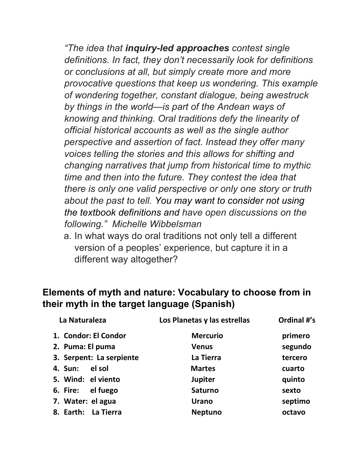*"The idea that inquiry-led approaches contest single definitions. In fact, they don't necessarily look for definitions or conclusions at all, but simply create more and more provocative questions that keep us wondering. This example of wondering together, constant dialogue, being awestruck by things in the world—is part of the Andean ways of knowing and thinking. Oral traditions defy the linearity of official historical accounts as well as the single author perspective and assertion of fact. Instead they offer many voices telling the stories and this allows for shifting and changing narratives that jump from historical time to mythic time and then into the future. They contest the idea that there is only one valid perspective or only one story or truth about the past to tell. You may want to consider not using the textbook definitions and have open discussions on the following." Michelle Wibbelsman*

a. In what ways do oral traditions not only tell a different version of a peoples' experience, but capture it in a different way altogether?

### **Elements of myth and nature: Vocabulary to choose from in their myth in the target language (Spanish)**

| La Naturaleza                 | Los Planetas y las estrellas | Ordinal #'s |
|-------------------------------|------------------------------|-------------|
| 1. Condor: El Condor          | <b>Mercurio</b>              | primero     |
| 2. Puma: El puma              | <b>Venus</b>                 | segundo     |
| 3. Serpent: La serpiente      | La Tierra                    | tercero     |
| el sol<br><b>4. Sun:</b>      | <b>Martes</b>                | cuarto      |
| 5. Wind: el viento            | <b>Jupiter</b>               | quinto      |
| el fuego<br>6. Fire:          | <b>Saturno</b>               | sexto       |
| 7. Water: el agua             | <b>Urano</b>                 | septimo     |
| <b>La Tierra</b><br>8. Earth: | <b>Neptuno</b>               | octavo      |
|                               |                              |             |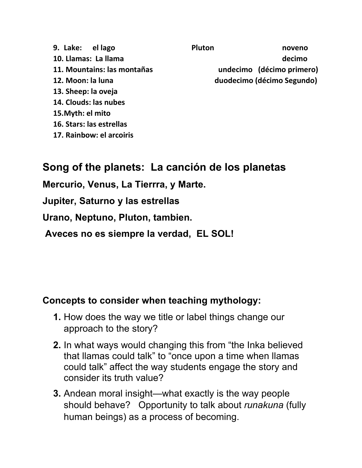- **9. Lake: el lago Pluton noveno 10.** Llamas: La llama decimo **11. Mountains: las montañas undecimo (décimo primero) 12. Moon: la luna duodecimo (décimo Segundo) 13. Sheep: la oveja 14. Clouds: las nubes 15.Myth: el mito**
- **16. Stars: las estrellas**
- **17. Rainbow: el arcoiris**

# **Song of the planets: La canción de los planetas**

**Mercurio, Venus, La Tierrra, y Marte.**

**Jupiter, Saturno y las estrellas**

**Urano, Neptuno, Pluton, tambien.**

**Aveces no es siempre la verdad, EL SOL!**

#### **Concepts to consider when teaching mythology:**

- **1.** How does the way we title or label things change our approach to the story?
- **2.** In what ways would changing this from "the Inka believed that llamas could talk" to "once upon a time when llamas could talk" affect the way students engage the story and consider its truth value?
- **3.** Andean moral insight—what exactly is the way people should behave? Opportunity to talk about *runakuna* (fully human beings) as a process of becoming.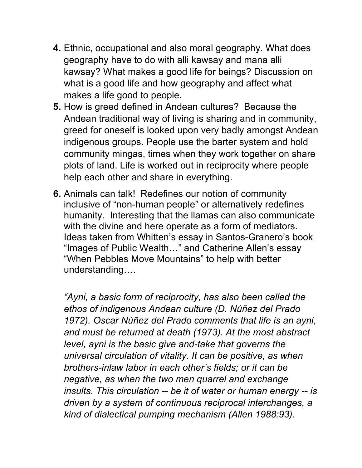- **4.** Ethnic, occupational and also moral geography. What does geography have to do with alli kawsay and mana alli kawsay? What makes a good life for beings? Discussion on what is a good life and how geography and affect what makes a life good to people.
- **5.** How is greed defined in Andean cultures? Because the Andean traditional way of living is sharing and in community, greed for oneself is looked upon very badly amongst Andean indigenous groups. People use the barter system and hold community mingas, times when they work together on share plots of land. Life is worked out in reciprocity where people help each other and share in everything.
- **6.** Animals can talk! Redefines our notion of community inclusive of "non-human people" or alternatively redefines humanity. Interesting that the llamas can also communicate with the divine and here operate as a form of mediators. Ideas taken from Whitten's essay in Santos-Granero's book "Images of Public Wealth…" and Catherine Allen's essay "When Pebbles Move Mountains" to help with better understanding….

*"Ayni, a basic form of reciprocity, has also been called the ethos of indigenous Andean culture (D. Núñez del Prado 1972). Oscar Núñez del Prado comments that life is an ayni, and must be returned at death (1973). At the most abstract level, ayni is the basic give and-take that governs the universal circulation of vitality. It can be positive, as when brothers-inlaw labor in each other's fields; or it can be negative, as when the two men quarrel and exchange insults. This circulation -- be it of water or human energy -- is driven by a system of continuous reciprocal interchanges, a kind of dialectical pumping mechanism (Allen 1988:93).*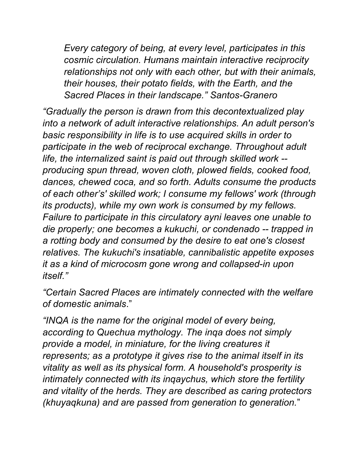*Every category of being, at every level, participates in this cosmic circulation. Humans maintain interactive reciprocity relationships not only with each other, but with their animals, their houses, their potato fields, with the Earth, and the Sacred Places in their landscape." Santos-Granero*

*"Gradually the person is drawn from this decontextualized play into a network of adult interactive relationships. An adult person's basic responsibility in life is to use acquired skills in order to participate in the web of reciprocal exchange. Throughout adult life, the internalized saint is paid out through skilled work - producing spun thread, woven cloth, plowed fields, cooked food, dances, chewed coca, and so forth. Adults consume the products of each other's' skilled work; I consume my fellows' work (through its products), while my own work is consumed by my fellows. Failure to participate in this circulatory ayni leaves one unable to die properly; one becomes a kukuchi, or condenado -- trapped in a rotting body and consumed by the desire to eat one's closest relatives. The kukuchi's insatiable, cannibalistic appetite exposes it as a kind of microcosm gone wrong and collapsed-in upon itself."*

*"Certain Sacred Places are intimately connected with the welfare of domestic animals*."

*"INQA is the name for the original model of every being, according to Quechua mythology. The inqa does not simply provide a model, in miniature, for the living creatures it represents; as a prototype it gives rise to the animal itself in its vitality as well as its physical form. A household's prosperity is intimately connected with its inqaychus, which store the fertility and vitality of the herds. They are described as caring protectors (khuyaqkuna) and are passed from generation to generation.*"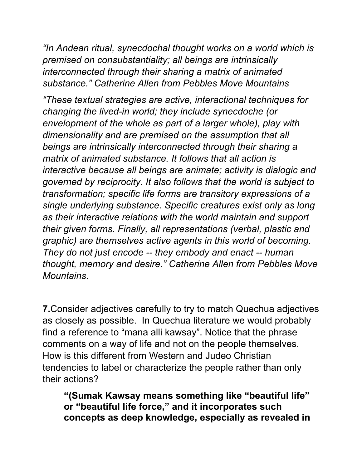*"In Andean ritual, synecdochal thought works on a world which is premised on consubstantiality; all beings are intrinsically interconnected through their sharing a matrix of animated substance." Catherine Allen from Pebbles Move Mountains*

*"These textual strategies are active, interactional techniques for changing the lived-in world; they include synecdoche (or envelopment of the whole as part of a larger whole), play with dimensionality and are premised on the assumption that all beings are intrinsically interconnected through their sharing a matrix of animated substance. It follows that all action is interactive because all beings are animate; activity is dialogic and governed by reciprocity. It also follows that the world is subject to transformation; specific life forms are transitory expressions of a single underlying substance. Specific creatures exist only as long as their interactive relations with the world maintain and support their given forms. Finally, all representations (verbal, plastic and graphic) are themselves active agents in this world of becoming. They do not just encode -- they embody and enact -- human thought, memory and desire." Catherine Allen from Pebbles Move Mountains.*

**7.**Consider adjectives carefully to try to match Quechua adjectives as closely as possible. In Quechua literature we would probably find a reference to "mana alli kawsay". Notice that the phrase comments on a way of life and not on the people themselves. How is this different from Western and Judeo Christian tendencies to label or characterize the people rather than only their actions?

**"(Sumak Kawsay means something like "beautiful life" or "beautiful life force," and it incorporates such concepts as deep knowledge, especially as revealed in**